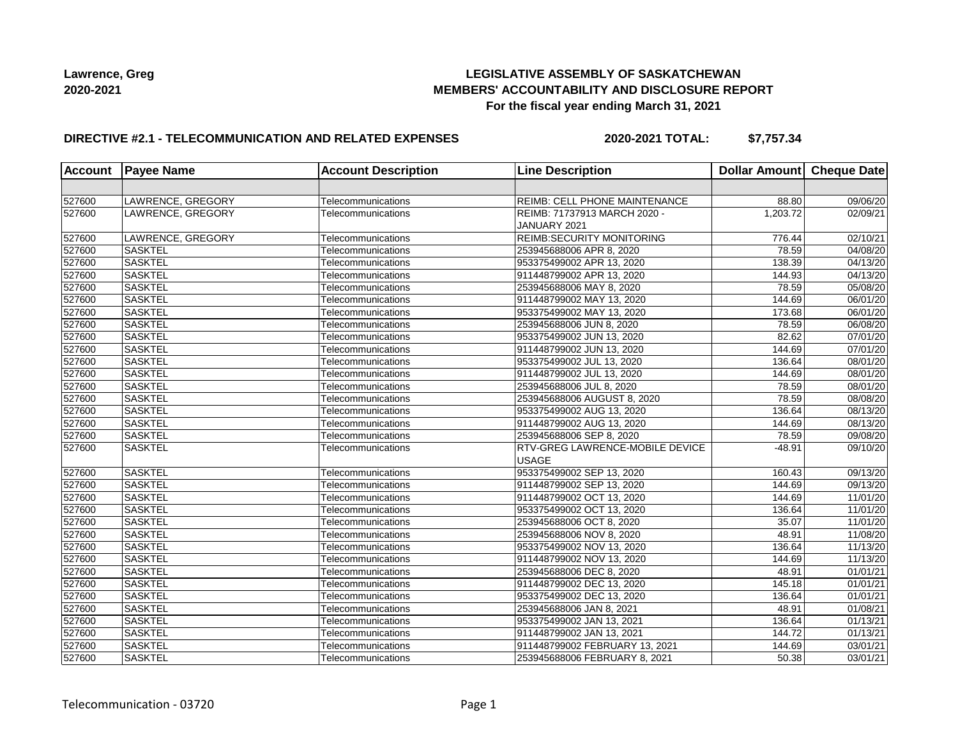## **LEGISLATIVE ASSEMBLY OF SASKATCHEWAN MEMBERS' ACCOUNTABILITY AND DISCLOSURE REPORT For the fiscal year ending March 31, 2021**

### **DIRECTIVE #2.1 - TELECOMMUNICATION AND RELATED EXPENSES**

**2020-2021 TOTAL: \$7,757.34**

|        | <b>Account Payee Name</b> | <b>Account Description</b> | <b>Line Description</b>                | Dollar Amount Cheque Date |                       |
|--------|---------------------------|----------------------------|----------------------------------------|---------------------------|-----------------------|
|        |                           |                            |                                        |                           |                       |
| 527600 | LAWRENCE, GREGORY         | Telecommunications         | REIMB: CELL PHONE MAINTENANCE          | 88.80                     | 09/06/20              |
| 527600 | LAWRENCE, GREGORY         | Telecommunications         | REIMB: 71737913 MARCH 2020 -           | 1,203.72                  | 02/09/21              |
|        |                           |                            | JANUARY 2021                           |                           |                       |
| 527600 | LAWRENCE, GREGORY         | Telecommunications         | <b>REIMB:SECURITY MONITORING</b>       | 776.44                    | 02/10/21              |
| 527600 | <b>SASKTEL</b>            | Telecommunications         | 253945688006 APR 8, 2020               | 78.59                     | 04/08/20              |
| 527600 | <b>SASKTEL</b>            | Telecommunications         | 953375499002 APR 13, 2020              | 138.39                    | 04/13/20              |
| 527600 | <b>SASKTEL</b>            | Telecommunications         | 911448799002 APR 13, 2020              | 144.93                    | 04/13/20              |
| 527600 | <b>SASKTEL</b>            | Telecommunications         | 253945688006 MAY 8, 2020               | 78.59                     | 05/08/20              |
| 527600 | <b>SASKTEL</b>            | Telecommunications         | 911448799002 MAY 13, 2020              | 144.69                    | 06/01/20              |
| 527600 | <b>SASKTEL</b>            | Telecommunications         | 953375499002 MAY 13, 2020              | 173.68                    | 06/01/20              |
| 527600 | <b>SASKTEL</b>            | Telecommunications         | 253945688006 JUN 8, 2020               | 78.59                     | 06/08/20              |
| 527600 | <b>SASKTEL</b>            | Telecommunications         | 953375499002 JUN 13, 2020              | 82.62                     | 07/01/20              |
| 527600 | <b>SASKTEL</b>            | Telecommunications         | 911448799002 JUN 13, 2020              | 144.69                    | 07/01/20              |
| 527600 | <b>SASKTEL</b>            | Telecommunications         | 953375499002 JUL 13, 2020              | 136.64                    | 08/01/20              |
| 527600 | <b>SASKTEL</b>            | Telecommunications         | 911448799002 JUL 13, 2020              | 144.69                    | 08/01/20              |
| 527600 | <b>SASKTEL</b>            | Telecommunications         | 253945688006 JUL 8, 2020               | 78.59                     | 08/01/20              |
| 527600 | <b>SASKTEL</b>            | Telecommunications         | 253945688006 AUGUST 8, 2020            | 78.59                     | 08/08/20              |
| 527600 | <b>SASKTEL</b>            | Telecommunications         | 953375499002 AUG 13, 2020              | 136.64                    | 08/13/20              |
| 527600 | <b>SASKTEL</b>            | Telecommunications         | 911448799002 AUG 13, 2020              | 144.69                    | 08/13/20              |
| 527600 | <b>SASKTEL</b>            | Telecommunications         | 253945688006 SEP 8, 2020               | 78.59                     | 09/08/20              |
| 527600 | <b>SASKTEL</b>            | Telecommunications         | <b>RTV-GREG LAWRENCE-MOBILE DEVICE</b> | $-48.91$                  | 09/10/20              |
|        |                           |                            | <b>USAGE</b>                           |                           |                       |
| 527600 | <b>SASKTEL</b>            | Telecommunications         | 953375499002 SEP 13, 2020              | 160.43                    | 09/13/20              |
| 527600 | <b>SASKTEL</b>            | Telecommunications         | 911448799002 SEP 13, 2020              | 144.69                    | 09/13/20              |
| 527600 | <b>SASKTEL</b>            | Telecommunications         | 911448799002 OCT 13, 2020              | 144.69                    | 11/01/20              |
| 527600 | <b>SASKTEL</b>            | Telecommunications         | 953375499002 OCT 13, 2020              | 136.64                    | 11/01/20              |
| 527600 | <b>SASKTEL</b>            | Telecommunications         | 253945688006 OCT 8, 2020               | 35.07                     | 11/01/20              |
| 527600 | <b>SASKTEL</b>            | Telecommunications         | 253945688006 NOV 8, 2020               | 48.91                     | 11/08/20              |
| 527600 | <b>SASKTEL</b>            | Telecommunications         | 953375499002 NOV 13, 2020              | 136.64                    | 11/13/20              |
| 527600 | <b>SASKTEL</b>            | Telecommunications         | 911448799002 NOV 13, 2020              | 144.69                    | 11/13/20              |
| 527600 | <b>SASKTEL</b>            | Telecommunications         | 253945688006 DEC 8, 2020               | 48.91                     | 01/01/21              |
| 527600 | <b>SASKTEL</b>            | Telecommunications         | 911448799002 DEC 13, 2020              | 145.18                    | 01/01/21              |
| 527600 | <b>SASKTEL</b>            | Telecommunications         | 953375499002 DEC 13, 2020              | 136.64                    | 01/01/21              |
| 527600 | <b>SASKTEL</b>            | Telecommunications         | 253945688006 JAN 8, 2021               | 48.91                     | $\overline{01}/08/21$ |
| 527600 | <b>SASKTEL</b>            | Telecommunications         | 953375499002 JAN 13, 2021              | 136.64                    | 01/13/21              |
| 527600 | <b>SASKTEL</b>            | Telecommunications         | 911448799002 JAN 13, 2021              | 144.72                    | 01/13/21              |
| 527600 | <b>SASKTEL</b>            | Telecommunications         | 911448799002 FEBRUARY 13, 2021         | 144.69                    | 03/01/21              |
| 527600 | <b>SASKTEL</b>            | Telecommunications         | 253945688006 FEBRUARY 8, 2021          | 50.38                     | 03/01/21              |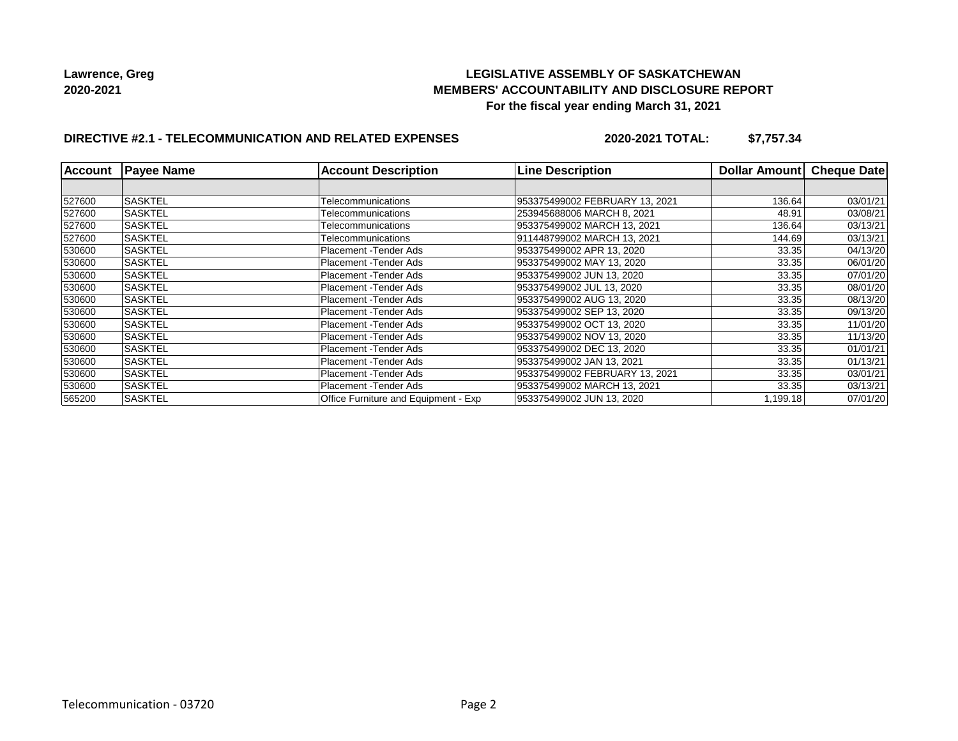## **LEGISLATIVE ASSEMBLY OF SASKATCHEWAN MEMBERS' ACCOUNTABILITY AND DISCLOSURE REPORT For the fiscal year ending March 31, 2021**

# **DIRECTIVE #2.1 - TELECOMMUNICATION AND RELATED EXPENSES**

**2020-2021 TOTAL: \$7,757.34**

| <b>Account</b> | <b>Payee Name</b> | <b>Account Description</b>                  | <b>Line Description</b>        | <b>Dollar Amountl</b> | <b>Cheque Date</b> |
|----------------|-------------------|---------------------------------------------|--------------------------------|-----------------------|--------------------|
|                |                   |                                             |                                |                       |                    |
| 527600         | <b>SASKTEL</b>    | Telecommunications                          | 953375499002 FEBRUARY 13, 2021 | 136.64                | 03/01/21           |
| 527600         | <b>SASKTEL</b>    | Telecommunications                          | 253945688006 MARCH 8, 2021     | 48.91                 | 03/08/21           |
| 527600         | SASKTEL           | Telecommunications                          | 953375499002 MARCH 13, 2021    | 136.64                | 03/13/21           |
| 527600         | ISASKTEL          | Telecommunications                          | 911448799002 MARCH 13, 2021    | 144.69                | 03/13/21           |
| 530600         | ISASKTEL          | Placement -Tender Ads                       | 953375499002 APR 13, 2020      | 33.35                 | 04/13/20           |
| 530600         | <b>SASKTEL</b>    | Placement - Tender Ads                      | 953375499002 MAY 13, 2020      | 33.35                 | 06/01/20           |
| 530600         | <b>SASKTEL</b>    | Placement - Tender Ads                      | 953375499002 JUN 13, 2020      | 33.35                 | 07/01/20           |
| 530600         | ISASKTEL          | Placement - Tender Ads                      | 953375499002 JUL 13, 2020      | 33.35                 | 08/01/20           |
| 530600         | <b>SASKTEL</b>    | Placement - Tender Ads                      | 953375499002 AUG 13, 2020      | 33.35                 | 08/13/20           |
| 530600         | SASKTEL           | Placement - Tender Ads                      | 953375499002 SEP 13, 2020      | 33.35                 | 09/13/20           |
| 530600         | <b>SASKTEL</b>    | Placement -Tender Ads                       | 953375499002 OCT 13, 2020      | 33.35                 | 11/01/20           |
| 530600         | ISASKTEL          | Placement -Tender Ads                       | 953375499002 NOV 13, 2020      | 33.35                 | 11/13/20           |
| 530600         | ISASKTEL          | Placement -Tender Ads                       | 953375499002 DEC 13, 2020      | 33.35                 | 01/01/21           |
| 530600         | <b>SASKTEL</b>    | Placement -Tender Ads                       | 953375499002 JAN 13, 2021      | 33.35                 | 01/13/21           |
| 530600         | <b>SASKTEL</b>    | Placement - Tender Ads                      | 953375499002 FEBRUARY 13, 2021 | 33.35                 | 03/01/21           |
| 530600         | SASKTEL           | Placement -Tender Ads                       | 953375499002 MARCH 13, 2021    | 33.35                 | 03/13/21           |
| 565200         | ISASKTEL          | <b>Office Furniture and Equipment - Exp</b> | 953375499002 JUN 13, 2020      | 1,199.18              | 07/01/20           |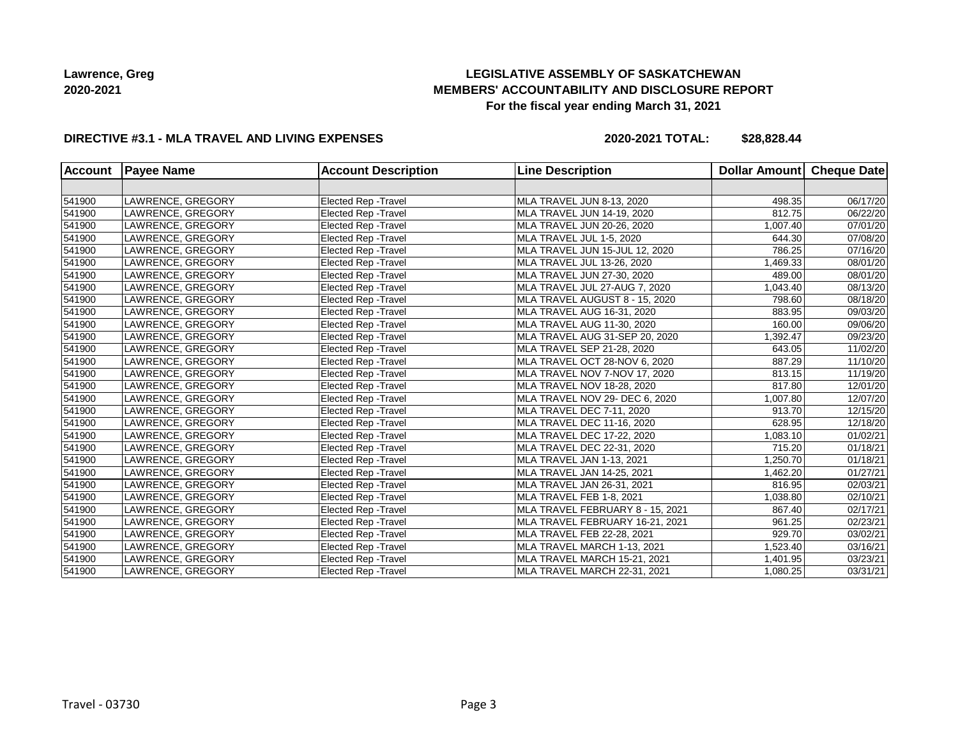# **LEGISLATIVE ASSEMBLY OF SASKATCHEWAN MEMBERS' ACCOUNTABILITY AND DISCLOSURE REPORT For the fiscal year ending March 31, 2021**

### **DIRECTIVE #3.1 - MLA TRAVEL AND LIVING EXPENSES**

**2020-2021 TOTAL: \$28,828.44**

| <b>Account</b> | <b>Payee Name</b> | <b>Account Description</b>  | <b>Line Description</b>          | Dollar Amount | Cheque Date |
|----------------|-------------------|-----------------------------|----------------------------------|---------------|-------------|
|                |                   |                             |                                  |               |             |
| 541900         | LAWRENCE, GREGORY | <b>Elected Rep - Travel</b> | MLA TRAVEL JUN 8-13, 2020        | 498.35        | 06/17/20    |
| 541900         | LAWRENCE, GREGORY | Elected Rep - Travel        | MLA TRAVEL JUN 14-19, 2020       | 812.75        | 06/22/20    |
| 541900         | LAWRENCE, GREGORY | Elected Rep - Travel        | MLA TRAVEL JUN 20-26, 2020       | 1,007.40      | 07/01/20    |
| 541900         | LAWRENCE, GREGORY | Elected Rep - Travel        | MLA TRAVEL JUL 1-5, 2020         | 644.30        | 07/08/20    |
| 541900         | LAWRENCE, GREGORY | Elected Rep - Travel        | MLA TRAVEL JUN 15-JUL 12, 2020   | 786.25        | 07/16/20    |
| 541900         | LAWRENCE, GREGORY | <b>Elected Rep - Travel</b> | MLA TRAVEL JUL 13-26, 2020       | 1,469.33      | 08/01/20    |
| 541900         | LAWRENCE, GREGORY | Elected Rep - Travel        | MLA TRAVEL JUN 27-30, 2020       | 489.00        | 08/01/20    |
| 541900         | LAWRENCE, GREGORY | Elected Rep - Travel        | MLA TRAVEL JUL 27-AUG 7, 2020    | 1,043.40      | 08/13/20    |
| 541900         | LAWRENCE, GREGORY | Elected Rep - Travel        | MLA TRAVEL AUGUST 8 - 15, 2020   | 798.60        | 08/18/20    |
| 541900         | LAWRENCE, GREGORY | Elected Rep - Travel        | MLA TRAVEL AUG 16-31, 2020       | 883.95        | 09/03/20    |
| 541900         | LAWRENCE, GREGORY | Elected Rep - Travel        | MLA TRAVEL AUG 11-30, 2020       | 160.00        | 09/06/20    |
| 541900         | LAWRENCE, GREGORY | <b>Elected Rep - Travel</b> | MLA TRAVEL AUG 31-SEP 20, 2020   | 1,392.47      | 09/23/20    |
| 541900         | LAWRENCE, GREGORY | <b>Elected Rep - Travel</b> | MLA TRAVEL SEP 21-28, 2020       | 643.05        | 11/02/20    |
| 541900         | LAWRENCE, GREGORY | Elected Rep - Travel        | MLA TRAVEL OCT 28-NOV 6, 2020    | 887.29        | 11/10/20    |
| 541900         | LAWRENCE, GREGORY | <b>Elected Rep - Travel</b> | MLA TRAVEL NOV 7-NOV 17, 2020    | 813.15        | 11/19/20    |
| 541900         | LAWRENCE, GREGORY | Elected Rep - Travel        | MLA TRAVEL NOV 18-28, 2020       | 817.80        | 12/01/20    |
| 541900         | LAWRENCE, GREGORY | Elected Rep - Travel        | MLA TRAVEL NOV 29- DEC 6, 2020   | 1,007.80      | 12/07/20    |
| 541900         | LAWRENCE, GREGORY | <b>Elected Rep - Travel</b> | MLA TRAVEL DEC 7-11, 2020        | 913.70        | 12/15/20    |
| 541900         | LAWRENCE, GREGORY | Elected Rep - Travel        | MLA TRAVEL DEC 11-16, 2020       | 628.95        | 12/18/20    |
| 541900         | LAWRENCE, GREGORY | <b>Elected Rep - Travel</b> | MLA TRAVEL DEC 17-22, 2020       | 1,083.10      | 01/02/21    |
| 541900         | LAWRENCE, GREGORY | <b>Elected Rep - Travel</b> | MLA TRAVEL DEC 22-31, 2020       | 715.20        | 01/18/21    |
| 541900         | LAWRENCE, GREGORY | Elected Rep - Travel        | MLA TRAVEL JAN 1-13, 2021        | 1,250.70      | 01/18/21    |
| 541900         | LAWRENCE, GREGORY | <b>Elected Rep - Travel</b> | MLA TRAVEL JAN 14-25, 2021       | 1,462.20      | 01/27/21    |
| 541900         | LAWRENCE, GREGORY | Elected Rep - Travel        | MLA TRAVEL JAN 26-31, 2021       | 816.95        | 02/03/21    |
| 541900         | LAWRENCE, GREGORY | Elected Rep - Travel        | MLA TRAVEL FEB 1-8, 2021         | 1,038.80      | 02/10/21    |
| 541900         | LAWRENCE, GREGORY | Elected Rep - Travel        | MLA TRAVEL FEBRUARY 8 - 15, 2021 | 867.40        | 02/17/21    |
| 541900         | LAWRENCE, GREGORY | Elected Rep - Travel        | MLA TRAVEL FEBRUARY 16-21, 2021  | 961.25        | 02/23/21    |
| 541900         | LAWRENCE, GREGORY | Elected Rep - Travel        | MLA TRAVEL FEB 22-28, 2021       | 929.70        | 03/02/21    |
| 541900         | LAWRENCE, GREGORY | Elected Rep - Travel        | MLA TRAVEL MARCH 1-13, 2021      | 1,523.40      | 03/16/21    |
| 541900         | LAWRENCE, GREGORY | Elected Rep - Travel        | MLA TRAVEL MARCH 15-21, 2021     | 1,401.95      | 03/23/21    |
| 541900         | LAWRENCE, GREGORY | <b>Elected Rep - Travel</b> | MLA TRAVEL MARCH 22-31, 2021     | 1,080.25      | 03/31/21    |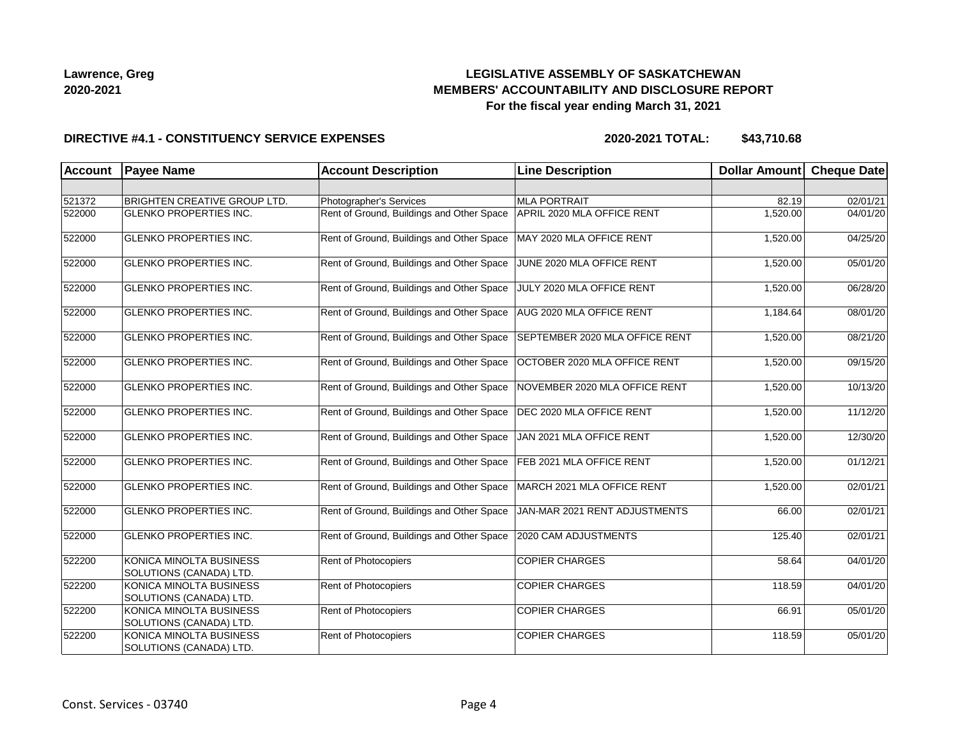## **LEGISLATIVE ASSEMBLY OF SASKATCHEWAN MEMBERS' ACCOUNTABILITY AND DISCLOSURE REPORT For the fiscal year ending March 31, 2021**

### **DIRECTIVE #4.1 - CONSTITUENCY SERVICE EXPENSES**

| <b>Account</b> | <b>Payee Name</b>                                  | <b>Account Description</b>                | <b>Line Description</b>        | <b>Dollar Amount</b> | <b>Cheque Date</b> |
|----------------|----------------------------------------------------|-------------------------------------------|--------------------------------|----------------------|--------------------|
|                |                                                    |                                           |                                |                      |                    |
| 521372         | <b>BRIGHTEN CREATIVE GROUP LTD.</b>                | Photographer's Services                   | <b>MLA PORTRAIT</b>            | 82.19                | 02/01/21           |
| 522000         | <b>GLENKO PROPERTIES INC.</b>                      | Rent of Ground, Buildings and Other Space | APRIL 2020 MLA OFFICE RENT     | 1,520.00             | 04/01/20           |
| 522000         | <b>GLENKO PROPERTIES INC.</b>                      | Rent of Ground, Buildings and Other Space | MAY 2020 MLA OFFICE RENT       | 1,520.00             | 04/25/20           |
| 522000         | <b>GLENKO PROPERTIES INC.</b>                      | Rent of Ground, Buildings and Other Space | JUNE 2020 MLA OFFICE RENT      | 1,520.00             | 05/01/20           |
| 522000         | <b>GLENKO PROPERTIES INC.</b>                      | Rent of Ground, Buildings and Other Space | JULY 2020 MLA OFFICE RENT      | 1,520.00             | 06/28/20           |
| 522000         | <b>GLENKO PROPERTIES INC.</b>                      | Rent of Ground, Buildings and Other Space | AUG 2020 MLA OFFICE RENT       | 1,184.64             | 08/01/20           |
| 522000         | <b>GLENKO PROPERTIES INC.</b>                      | Rent of Ground, Buildings and Other Space | SEPTEMBER 2020 MLA OFFICE RENT | 1,520.00             | 08/21/20           |
| 522000         | <b>GLENKO PROPERTIES INC.</b>                      | Rent of Ground, Buildings and Other Space | OCTOBER 2020 MLA OFFICE RENT   | 1,520.00             | 09/15/20           |
| 522000         | <b>GLENKO PROPERTIES INC.</b>                      | Rent of Ground, Buildings and Other Space | NOVEMBER 2020 MLA OFFICE RENT  | 1,520.00             | 10/13/20           |
| 522000         | <b>GLENKO PROPERTIES INC.</b>                      | Rent of Ground, Buildings and Other Space | DEC 2020 MLA OFFICE RENT       | 1,520.00             | 11/12/20           |
| 522000         | <b>GLENKO PROPERTIES INC.</b>                      | Rent of Ground, Buildings and Other Space | JAN 2021 MLA OFFICE RENT       | 1,520.00             | 12/30/20           |
| 522000         | <b>GLENKO PROPERTIES INC.</b>                      | Rent of Ground, Buildings and Other Space | FEB 2021 MLA OFFICE RENT       | 1,520.00             | 01/12/21           |
| 522000         | <b>GLENKO PROPERTIES INC.</b>                      | Rent of Ground, Buildings and Other Space | MARCH 2021 MLA OFFICE RENT     | 1,520.00             | 02/01/21           |
| 522000         | <b>GLENKO PROPERTIES INC.</b>                      | Rent of Ground, Buildings and Other Space | JAN-MAR 2021 RENT ADJUSTMENTS  | 66.00                | 02/01/21           |
| 522000         | <b>GLENKO PROPERTIES INC.</b>                      | Rent of Ground, Buildings and Other Space | 2020 CAM ADJUSTMENTS           | 125.40               | 02/01/21           |
| 522200         | KONICA MINOLTA BUSINESS<br>SOLUTIONS (CANADA) LTD. | Rent of Photocopiers                      | <b>COPIER CHARGES</b>          | 58.64                | 04/01/20           |
| 522200         | KONICA MINOLTA BUSINESS<br>SOLUTIONS (CANADA) LTD. | Rent of Photocopiers                      | <b>COPIER CHARGES</b>          | 118.59               | 04/01/20           |
| 522200         | KONICA MINOLTA BUSINESS<br>SOLUTIONS (CANADA) LTD. | Rent of Photocopiers                      | <b>COPIER CHARGES</b>          | 66.91                | 05/01/20           |
| 522200         | KONICA MINOLTA BUSINESS<br>SOLUTIONS (CANADA) LTD. | Rent of Photocopiers                      | <b>COPIER CHARGES</b>          | 118.59               | 05/01/20           |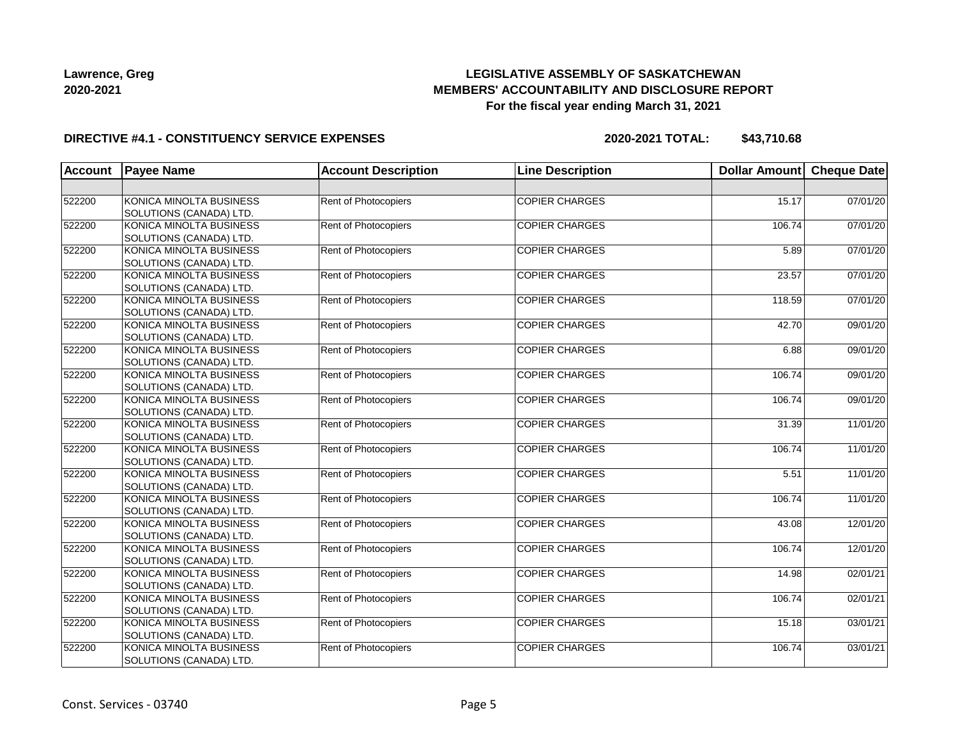## **LEGISLATIVE ASSEMBLY OF SASKATCHEWAN MEMBERS' ACCOUNTABILITY AND DISCLOSURE REPORT For the fiscal year ending March 31, 2021**

### **DIRECTIVE #4.1 - CONSTITUENCY SERVICE EXPENSES**

| Account | <b>Payee Name</b>       | <b>Account Description</b>  | <b>Line Description</b> | Dollar Amount | <b>Cheque Date</b> |
|---------|-------------------------|-----------------------------|-------------------------|---------------|--------------------|
|         |                         |                             |                         |               |                    |
| 522200  | KONICA MINOLTA BUSINESS | <b>Rent of Photocopiers</b> | <b>COPIER CHARGES</b>   | 15.17         | 07/01/20           |
|         | SOLUTIONS (CANADA) LTD. |                             |                         |               |                    |
| 522200  | KONICA MINOLTA BUSINESS | Rent of Photocopiers        | <b>COPIER CHARGES</b>   | 106.74        | 07/01/20           |
|         | SOLUTIONS (CANADA) LTD. |                             |                         |               |                    |
| 522200  | KONICA MINOLTA BUSINESS | Rent of Photocopiers        | <b>COPIER CHARGES</b>   | 5.89          | 07/01/20           |
|         | SOLUTIONS (CANADA) LTD. |                             |                         |               |                    |
| 522200  | KONICA MINOLTA BUSINESS | Rent of Photocopiers        | <b>COPIER CHARGES</b>   | 23.57         | 07/01/20           |
|         | SOLUTIONS (CANADA) LTD. |                             |                         |               |                    |
| 522200  | KONICA MINOLTA BUSINESS | Rent of Photocopiers        | <b>COPIER CHARGES</b>   | 118.59        | 07/01/20           |
|         | SOLUTIONS (CANADA) LTD. |                             |                         |               |                    |
| 522200  | KONICA MINOLTA BUSINESS | Rent of Photocopiers        | <b>COPIER CHARGES</b>   | 42.70         | 09/01/20           |
|         | SOLUTIONS (CANADA) LTD. |                             |                         |               |                    |
| 522200  | KONICA MINOLTA BUSINESS | <b>Rent of Photocopiers</b> | <b>COPIER CHARGES</b>   | 6.88          | 09/01/20           |
|         | SOLUTIONS (CANADA) LTD. |                             |                         |               |                    |
| 522200  | KONICA MINOLTA BUSINESS | <b>Rent of Photocopiers</b> | <b>COPIER CHARGES</b>   | 106.74        | 09/01/20           |
|         | SOLUTIONS (CANADA) LTD. |                             |                         |               |                    |
| 522200  | KONICA MINOLTA BUSINESS | Rent of Photocopiers        | <b>COPIER CHARGES</b>   | 106.74        | 09/01/20           |
|         | SOLUTIONS (CANADA) LTD. |                             |                         |               |                    |
| 522200  | KONICA MINOLTA BUSINESS | Rent of Photocopiers        | <b>COPIER CHARGES</b>   | 31.39         | 11/01/20           |
|         | SOLUTIONS (CANADA) LTD. |                             |                         |               |                    |
| 522200  | KONICA MINOLTA BUSINESS | Rent of Photocopiers        | <b>COPIER CHARGES</b>   | 106.74        | 11/01/20           |
|         | SOLUTIONS (CANADA) LTD. |                             |                         |               |                    |
| 522200  | KONICA MINOLTA BUSINESS | Rent of Photocopiers        | <b>COPIER CHARGES</b>   | 5.51          | 11/01/20           |
|         | SOLUTIONS (CANADA) LTD. |                             |                         |               |                    |
| 522200  | KONICA MINOLTA BUSINESS | Rent of Photocopiers        | <b>COPIER CHARGES</b>   | 106.74        | 11/01/20           |
|         | SOLUTIONS (CANADA) LTD. |                             |                         |               |                    |
| 522200  | KONICA MINOLTA BUSINESS | <b>Rent of Photocopiers</b> | <b>COPIER CHARGES</b>   | 43.08         | 12/01/20           |
|         | SOLUTIONS (CANADA) LTD. |                             |                         |               |                    |
| 522200  | KONICA MINOLTA BUSINESS | <b>Rent of Photocopiers</b> | <b>COPIER CHARGES</b>   | 106.74        | 12/01/20           |
|         | SOLUTIONS (CANADA) LTD. |                             |                         |               |                    |
| 522200  | KONICA MINOLTA BUSINESS | <b>Rent of Photocopiers</b> | <b>COPIER CHARGES</b>   | 14.98         | 02/01/21           |
|         | SOLUTIONS (CANADA) LTD. |                             |                         |               |                    |
| 522200  | KONICA MINOLTA BUSINESS | Rent of Photocopiers        | <b>COPIER CHARGES</b>   | 106.74        | 02/01/21           |
|         | SOLUTIONS (CANADA) LTD. |                             |                         |               |                    |
| 522200  | KONICA MINOLTA BUSINESS | Rent of Photocopiers        | <b>COPIER CHARGES</b>   | 15.18         | 03/01/21           |
|         | SOLUTIONS (CANADA) LTD. |                             |                         |               |                    |
| 522200  | KONICA MINOLTA BUSINESS | Rent of Photocopiers        | <b>COPIER CHARGES</b>   | 106.74        | 03/01/21           |
|         | SOLUTIONS (CANADA) LTD. |                             |                         |               |                    |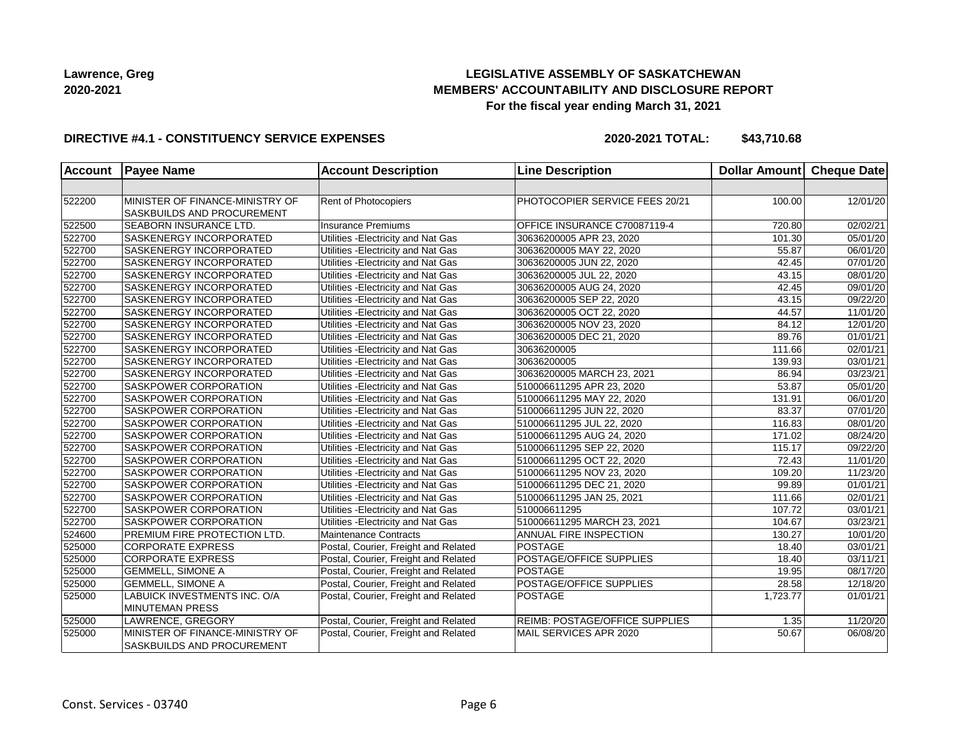## **LEGISLATIVE ASSEMBLY OF SASKATCHEWAN MEMBERS' ACCOUNTABILITY AND DISCLOSURE REPORT For the fiscal year ending March 31, 2021**

### **DIRECTIVE #4.1 - CONSTITUENCY SERVICE EXPENSES**

| <b>Account</b> | <b>Payee Name</b>               | <b>Account Description</b>           | <b>Line Description</b>        | Dollar Amount | <b>Cheque Date</b>    |
|----------------|---------------------------------|--------------------------------------|--------------------------------|---------------|-----------------------|
|                |                                 |                                      |                                |               |                       |
| 522200         | MINISTER OF FINANCE-MINISTRY OF | Rent of Photocopiers                 | PHOTOCOPIER SERVICE FEES 20/21 | 100.00        | 12/01/20              |
|                | SASKBUILDS AND PROCUREMENT      |                                      |                                |               |                       |
| 522500         | SEABORN INSURANCE LTD.          | <b>Insurance Premiums</b>            | OFFICE INSURANCE C70087119-4   | 720.80        | $\overline{02}/02/21$ |
| 522700         | SASKENERGY INCORPORATED         | Utilities - Electricity and Nat Gas  | 30636200005 APR 23, 2020       | 101.30        | 05/01/20              |
| 522700         | SASKENERGY INCORPORATED         | Utilities - Electricity and Nat Gas  | 30636200005 MAY 22, 2020       | 55.87         | 06/01/20              |
| 522700         | SASKENERGY INCORPORATED         | Utilities - Electricity and Nat Gas  | 30636200005 JUN 22, 2020       | 42.45         | 07/01/20              |
| 522700         | SASKENERGY INCORPORATED         | Utilities - Electricity and Nat Gas  | 30636200005 JUL 22, 2020       | 43.15         | 08/01/20              |
| 522700         | SASKENERGY INCORPORATED         | Utilities - Electricity and Nat Gas  | 30636200005 AUG 24, 2020       | 42.45         | 09/01/20              |
| 522700         | SASKENERGY INCORPORATED         | Utilities - Electricity and Nat Gas  | 30636200005 SEP 22, 2020       | 43.15         | 09/22/20              |
| 522700         | SASKENERGY INCORPORATED         | Utilities - Electricity and Nat Gas  | 30636200005 OCT 22, 2020       | 44.57         | 11/01/20              |
| 522700         | SASKENERGY INCORPORATED         | Utilities - Electricity and Nat Gas  | 30636200005 NOV 23, 2020       | 84.12         | 12/01/20              |
| 522700         | SASKENERGY INCORPORATED         | Utilities - Electricity and Nat Gas  | 30636200005 DEC 21, 2020       | 89.76         | $\overline{01/0}1/21$ |
| 522700         | SASKENERGY INCORPORATED         | Utilities - Electricity and Nat Gas  | 30636200005                    | 111.66        | 02/01/21              |
| 522700         | SASKENERGY INCORPORATED         | Utilities - Electricity and Nat Gas  | 30636200005                    | 139.93        | 03/01/21              |
| 522700         | SASKENERGY INCORPORATED         | Utilities - Electricity and Nat Gas  | 30636200005 MARCH 23, 2021     | 86.94         | 03/23/21              |
| 522700         | SASKPOWER CORPORATION           | Utilities - Electricity and Nat Gas  | 510006611295 APR 23, 2020      | 53.87         | 05/01/20              |
| 522700         | SASKPOWER CORPORATION           | Utilities - Electricity and Nat Gas  | 510006611295 MAY 22, 2020      | 131.91        | 06/01/20              |
| 522700         | SASKPOWER CORPORATION           | Utilities - Electricity and Nat Gas  | 510006611295 JUN 22, 2020      | 83.37         | $\overline{07/01/20}$ |
| 522700         | SASKPOWER CORPORATION           | Utilities - Electricity and Nat Gas  | 510006611295 JUL 22, 2020      | 116.83        | 08/01/20              |
| 522700         | SASKPOWER CORPORATION           | Utilities - Electricity and Nat Gas  | 510006611295 AUG 24, 2020      | 171.02        | 08/24/20              |
| 522700         | SASKPOWER CORPORATION           | Utilities - Electricity and Nat Gas  | 510006611295 SEP 22, 2020      | 115.17        | 09/22/20              |
| 522700         | SASKPOWER CORPORATION           | Utilities - Electricity and Nat Gas  | 510006611295 OCT 22, 2020      | 72.43         | 11/01/20              |
| 522700         | SASKPOWER CORPORATION           | Utilities - Electricity and Nat Gas  | 510006611295 NOV 23, 2020      | 109.20        | 11/23/20              |
| 522700         | SASKPOWER CORPORATION           | Utilities - Electricity and Nat Gas  | 510006611295 DEC 21, 2020      | 99.89         | 01/01/21              |
| 522700         | SASKPOWER CORPORATION           | Utilities - Electricity and Nat Gas  | 510006611295 JAN 25, 2021      | 111.66        | 02/01/21              |
| 522700         | SASKPOWER CORPORATION           | Utilities - Electricity and Nat Gas  | 510006611295                   | 107.72        | 03/01/21              |
| 522700         | SASKPOWER CORPORATION           | Utilities - Electricity and Nat Gas  | 510006611295 MARCH 23, 2021    | 104.67        | 03/23/21              |
| 524600         | PREMIUM FIRE PROTECTION LTD.    | <b>Maintenance Contracts</b>         | ANNUAL FIRE INSPECTION         | 130.27        | 10/01/20              |
| 525000         | <b>CORPORATE EXPRESS</b>        | Postal, Courier, Freight and Related | <b>POSTAGE</b>                 | 18.40         | 03/01/21              |
| 525000         | <b>CORPORATE EXPRESS</b>        | Postal, Courier, Freight and Related | POSTAGE/OFFICE SUPPLIES        | 18.40         | 03/11/21              |
| 525000         | <b>GEMMELL, SIMONE A</b>        | Postal, Courier, Freight and Related | <b>POSTAGE</b>                 | 19.95         | 08/17/20              |
| 525000         | <b>GEMMELL, SIMONE A</b>        | Postal, Courier, Freight and Related | POSTAGE/OFFICE SUPPLIES        | 28.58         | 12/18/20              |
| 525000         | LABUICK INVESTMENTS INC. O/A    | Postal, Courier, Freight and Related | POSTAGE                        | 1,723.77      | 01/01/21              |
|                | <b>MINUTEMAN PRESS</b>          |                                      |                                |               |                       |
| 525000         | LAWRENCE, GREGORY               | Postal, Courier, Freight and Related | REIMB: POSTAGE/OFFICE SUPPLIES | 1.35          | 11/20/20              |
| 525000         | MINISTER OF FINANCE-MINISTRY OF | Postal, Courier, Freight and Related | MAIL SERVICES APR 2020         | 50.67         | 06/08/20              |
|                | SASKBUILDS AND PROCUREMENT      |                                      |                                |               |                       |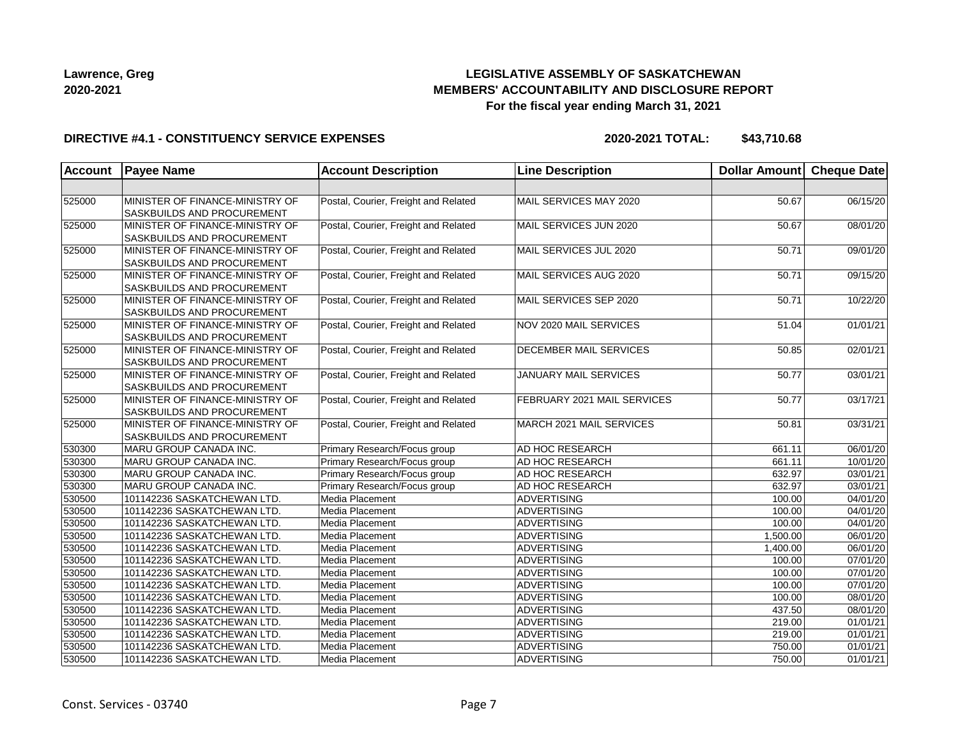## **LEGISLATIVE ASSEMBLY OF SASKATCHEWAN MEMBERS' ACCOUNTABILITY AND DISCLOSURE REPORT For the fiscal year ending March 31, 2021**

### **DIRECTIVE #4.1 - CONSTITUENCY SERVICE EXPENSES**

| Account | <b>Payee Name</b>                                                    | <b>Account Description</b>           | <b>Line Description</b>       | Dollar Amount Cheque Date |          |
|---------|----------------------------------------------------------------------|--------------------------------------|-------------------------------|---------------------------|----------|
|         |                                                                      |                                      |                               |                           |          |
| 525000  | MINISTER OF FINANCE-MINISTRY OF<br><b>SASKBUILDS AND PROCUREMENT</b> | Postal, Courier, Freight and Related | MAIL SERVICES MAY 2020        | 50.67                     | 06/15/20 |
| 525000  | MINISTER OF FINANCE-MINISTRY OF<br><b>SASKBUILDS AND PROCUREMENT</b> | Postal, Courier, Freight and Related | MAIL SERVICES JUN 2020        | 50.67                     | 08/01/20 |
| 525000  | MINISTER OF FINANCE-MINISTRY OF<br>SASKBUILDS AND PROCUREMENT        | Postal, Courier, Freight and Related | MAIL SERVICES JUL 2020        | 50.71                     | 09/01/20 |
| 525000  | MINISTER OF FINANCE-MINISTRY OF<br><b>SASKBUILDS AND PROCUREMENT</b> | Postal, Courier, Freight and Related | MAIL SERVICES AUG 2020        | 50.71                     | 09/15/20 |
| 525000  | MINISTER OF FINANCE-MINISTRY OF<br><b>SASKBUILDS AND PROCUREMENT</b> | Postal, Courier, Freight and Related | MAIL SERVICES SEP 2020        | 50.71                     | 10/22/20 |
| 525000  | MINISTER OF FINANCE-MINISTRY OF<br><b>SASKBUILDS AND PROCUREMENT</b> | Postal, Courier, Freight and Related | NOV 2020 MAIL SERVICES        | 51.04                     | 01/01/21 |
| 525000  | MINISTER OF FINANCE-MINISTRY OF<br><b>SASKBUILDS AND PROCUREMENT</b> | Postal, Courier, Freight and Related | <b>DECEMBER MAIL SERVICES</b> | 50.85                     | 02/01/21 |
| 525000  | MINISTER OF FINANCE-MINISTRY OF<br><b>SASKBUILDS AND PROCUREMENT</b> | Postal, Courier, Freight and Related | JANUARY MAIL SERVICES         | 50.77                     | 03/01/21 |
| 525000  | MINISTER OF FINANCE-MINISTRY OF<br>SASKBUILDS AND PROCUREMENT        | Postal, Courier, Freight and Related | FEBRUARY 2021 MAIL SERVICES   | 50.77                     | 03/17/21 |
| 525000  | MINISTER OF FINANCE-MINISTRY OF<br><b>SASKBUILDS AND PROCUREMENT</b> | Postal, Courier, Freight and Related | MARCH 2021 MAIL SERVICES      | 50.81                     | 03/31/21 |
| 530300  | MARU GROUP CANADA INC.                                               | Primary Research/Focus group         | <b>AD HOC RESEARCH</b>        | 661.11                    | 06/01/20 |
| 530300  | MARU GROUP CANADA INC.                                               | Primary Research/Focus group         | AD HOC RESEARCH               | 661.11                    | 10/01/20 |
| 530300  | MARU GROUP CANADA INC.                                               | Primary Research/Focus group         | AD HOC RESEARCH               | 632.97                    | 03/01/21 |
| 530300  | MARU GROUP CANADA INC.                                               | Primary Research/Focus group         | <b>AD HOC RESEARCH</b>        | 632.97                    | 03/01/21 |
| 530500  | 101142236 SASKATCHEWAN LTD.                                          | Media Placement                      | ADVERTISING                   | 100.00                    | 04/01/20 |
| 530500  | 101142236 SASKATCHEWAN LTD.                                          | Media Placement                      | ADVERTISING                   | 100.00                    | 04/01/20 |
| 530500  | 101142236 SASKATCHEWAN LTD.                                          | Media Placement                      | ADVERTISING                   | 100.00                    | 04/01/20 |
| 530500  | 101142236 SASKATCHEWAN LTD.                                          | Media Placement                      | ADVERTISING                   | 1,500.00                  | 06/01/20 |
| 530500  | 101142236 SASKATCHEWAN LTD.                                          | Media Placement                      | <b>ADVERTISING</b>            | 1,400.00                  | 06/01/20 |
| 530500  | 101142236 SASKATCHEWAN LTD.                                          | Media Placement                      | ADVERTISING                   | 100.00                    | 07/01/20 |
| 530500  | 101142236 SASKATCHEWAN LTD.                                          | Media Placement                      | ADVERTISING                   | 100.00                    | 07/01/20 |
| 530500  | 101142236 SASKATCHEWAN LTD.                                          | Media Placement                      | ADVERTISING                   | 100.00                    | 07/01/20 |
| 530500  | 101142236 SASKATCHEWAN LTD.                                          | Media Placement                      | ADVERTISING                   | 100.00                    | 08/01/20 |
| 530500  | 101142236 SASKATCHEWAN LTD.                                          | Media Placement                      | <b>ADVERTISING</b>            | 437.50                    | 08/01/20 |
| 530500  | 101142236 SASKATCHEWAN LTD.                                          | Media Placement                      | <b>ADVERTISING</b>            | 219.00                    | 01/01/21 |
| 530500  | 101142236 SASKATCHEWAN LTD.                                          | Media Placement                      | ADVERTISING                   | 219.00                    | 01/01/21 |
| 530500  | 101142236 SASKATCHEWAN LTD.                                          | Media Placement                      | <b>ADVERTISING</b>            | 750.00                    | 01/01/21 |
| 530500  | 101142236 SASKATCHEWAN LTD.                                          | Media Placement                      | ADVERTISING                   | 750.00                    | 01/01/21 |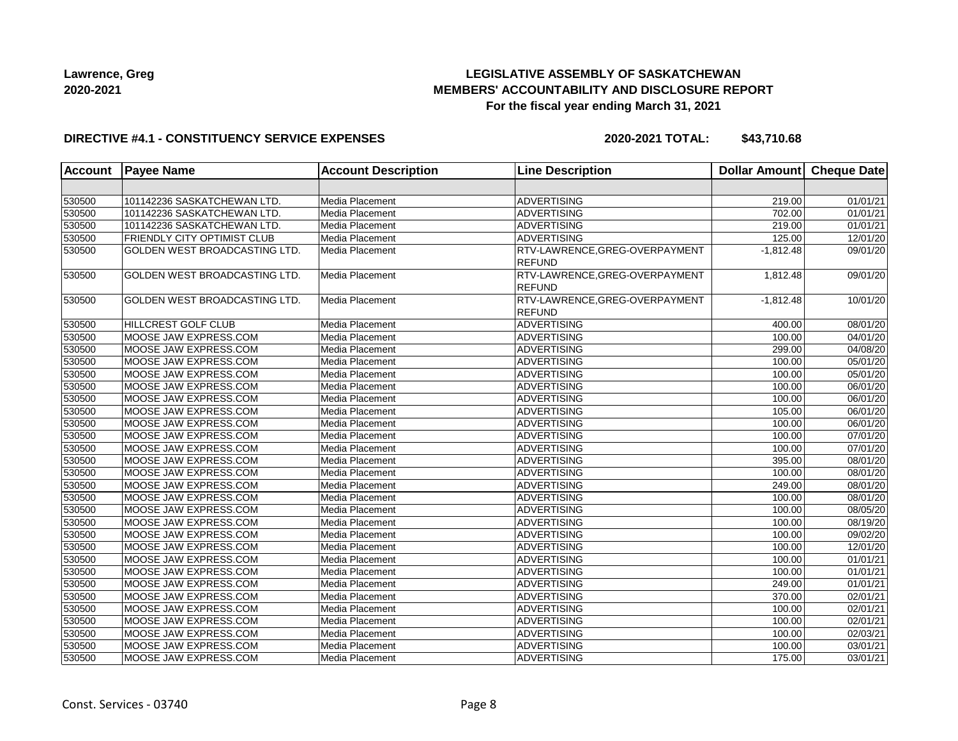## **LEGISLATIVE ASSEMBLY OF SASKATCHEWAN MEMBERS' ACCOUNTABILITY AND DISCLOSURE REPORT For the fiscal year ending March 31, 2021**

### **DIRECTIVE #4.1 - CONSTITUENCY SERVICE EXPENSES**

| <b>Account</b> | <b>Payee Name</b>                    | <b>Account Description</b> | <b>Line Description</b>                         | <b>Dollar Amount</b> | Cheque Date |
|----------------|--------------------------------------|----------------------------|-------------------------------------------------|----------------------|-------------|
|                |                                      |                            |                                                 |                      |             |
| 530500         | 101142236 SASKATCHEWAN LTD.          | Media Placement            | <b>ADVERTISING</b>                              | 219.00               | 01/01/21    |
| 530500         | 101142236 SASKATCHEWAN LTD.          | Media Placement            | <b>ADVERTISING</b>                              | 702.00               | 01/01/21    |
| 530500         | 101142236 SASKATCHEWAN LTD.          | Media Placement            | <b>ADVERTISING</b>                              | 219.00               | 01/01/21    |
| 530500         | <b>FRIENDLY CITY OPTIMIST CLUB</b>   | Media Placement            | <b>ADVERTISING</b>                              | 125.00               | 12/01/20    |
| 530500         | GOLDEN WEST BROADCASTING LTD.        | Media Placement            | RTV-LAWRENCE, GREG-OVERPAYMENT<br><b>REFUND</b> | $-1,812.48$          | 09/01/20    |
| 530500         | GOLDEN WEST BROADCASTING LTD.        | Media Placement            | RTV-LAWRENCE, GREG-OVERPAYMENT<br><b>REFUND</b> | 1,812.48             | 09/01/20    |
| 530500         | <b>GOLDEN WEST BROADCASTING LTD.</b> | Media Placement            | RTV-LAWRENCE, GREG-OVERPAYMENT<br>REFUND        | $-1,812.48$          | 10/01/20    |
| 530500         | <b>HILLCREST GOLF CLUB</b>           | Media Placement            | <b>ADVERTISING</b>                              | 400.00               | 08/01/20    |
| 530500         | MOOSE JAW EXPRESS.COM                | <b>Media Placement</b>     | <b>ADVERTISING</b>                              | 100.00               | 04/01/20    |
| 530500         | MOOSE JAW EXPRESS.COM                | Media Placement            | <b>ADVERTISING</b>                              | 299.00               | 04/08/20    |
| 530500         | MOOSE JAW EXPRESS.COM                | Media Placement            | <b>ADVERTISING</b>                              | 100.00               | 05/01/20    |
| 530500         | MOOSE JAW EXPRESS.COM                | Media Placement            | <b>ADVERTISING</b>                              | 100.00               | 05/01/20    |
| 530500         | MOOSE JAW EXPRESS.COM                | Media Placement            | <b>ADVERTISING</b>                              | 100.00               | 06/01/20    |
| 530500         | MOOSE JAW EXPRESS.COM                | Media Placement            | <b>ADVERTISING</b>                              | 100.00               | 06/01/20    |
| 530500         | MOOSE JAW EXPRESS.COM                | Media Placement            | <b>ADVERTISING</b>                              | 105.00               | 06/01/20    |
| 530500         | MOOSE JAW EXPRESS.COM                | Media Placement            | <b>ADVERTISING</b>                              | 100.00               | 06/01/20    |
| 530500         | MOOSE JAW EXPRESS.COM                | Media Placement            | <b>ADVERTISING</b>                              | 100.00               | 07/01/20    |
| 530500         | MOOSE JAW EXPRESS.COM                | Media Placement            | <b>ADVERTISING</b>                              | 100.00               | 07/01/20    |
| 530500         | MOOSE JAW EXPRESS.COM                | Media Placement            | <b>ADVERTISING</b>                              | 395.00               | 08/01/20    |
| 530500         | MOOSE JAW EXPRESS.COM                | Media Placement            | <b>ADVERTISING</b>                              | 100.00               | 08/01/20    |
| 530500         | MOOSE JAW EXPRESS.COM                | Media Placement            | <b>ADVERTISING</b>                              | 249.00               | 08/01/20    |
| 530500         | MOOSE JAW EXPRESS.COM                | Media Placement            | <b>ADVERTISING</b>                              | 100.00               | 08/01/20    |
| 530500         | MOOSE JAW EXPRESS.COM                | Media Placement            | <b>ADVERTISING</b>                              | 100.00               | 08/05/20    |
| 530500         | MOOSE JAW EXPRESS.COM                | Media Placement            | ADVERTISING                                     | 100.00               | 08/19/20    |
| 530500         | MOOSE JAW EXPRESS.COM                | Media Placement            | <b>ADVERTISING</b>                              | 100.00               | 09/02/20    |
| 530500         | MOOSE JAW EXPRESS.COM                | Media Placement            | <b>ADVERTISING</b>                              | 100.00               | 12/01/20    |
| 530500         | MOOSE JAW EXPRESS.COM                | Media Placement            | <b>ADVERTISING</b>                              | 100.00               | 01/01/21    |
| 530500         | MOOSE JAW EXPRESS.COM                | Media Placement            | <b>ADVERTISING</b>                              | 100.00               | 01/01/21    |
| 530500         | MOOSE JAW EXPRESS.COM                | Media Placement            | <b>ADVERTISING</b>                              | 249.00               | 01/01/21    |
| 530500         | MOOSE JAW EXPRESS.COM                | Media Placement            | <b>ADVERTISING</b>                              | 370.00               | 02/01/21    |
| 530500         | MOOSE JAW EXPRESS.COM                | Media Placement            | <b>ADVERTISING</b>                              | 100.00               | 02/01/21    |
| 530500         | MOOSE JAW EXPRESS.COM                | Media Placement            | <b>ADVERTISING</b>                              | 100.00               | 02/01/21    |
| 530500         | MOOSE JAW EXPRESS.COM                | Media Placement            | <b>ADVERTISING</b>                              | 100.00               | 02/03/21    |
| 530500         | MOOSE JAW EXPRESS.COM                | Media Placement            | <b>ADVERTISING</b>                              | 100.00               | 03/01/21    |
| 530500         | MOOSE JAW EXPRESS.COM                | Media Placement            | ADVERTISING                                     | 175.00               | 03/01/21    |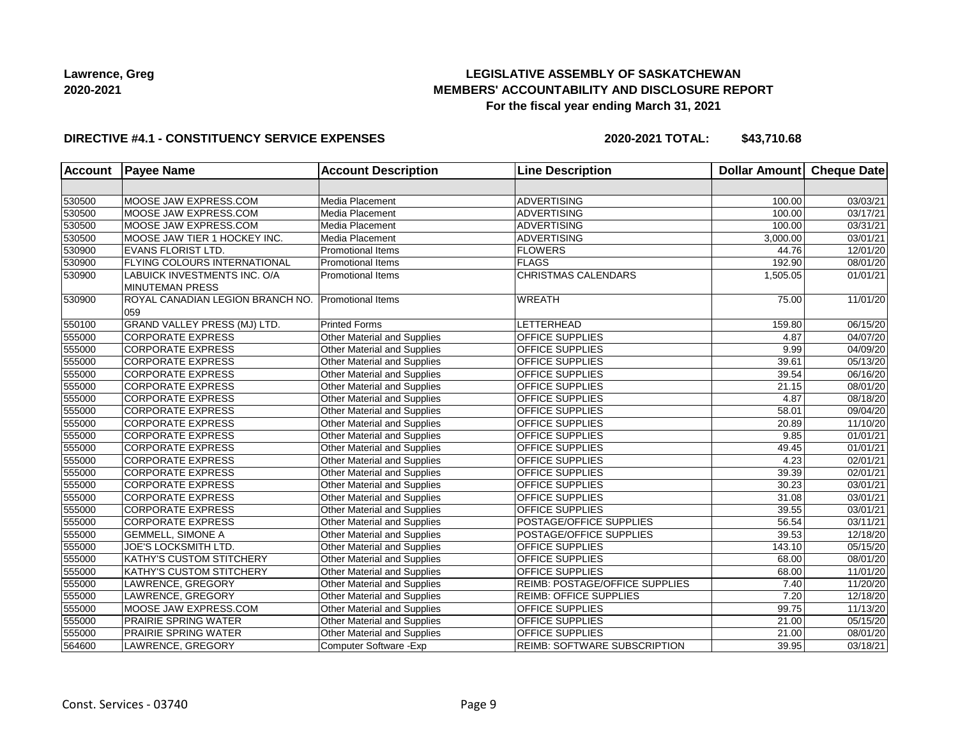## **LEGISLATIVE ASSEMBLY OF SASKATCHEWAN MEMBERS' ACCOUNTABILITY AND DISCLOSURE REPORT For the fiscal year ending March 31, 2021**

### **DIRECTIVE #4.1 - CONSTITUENCY SERVICE EXPENSES**

|        | <b>Account</b> Payee Name                              | <b>Account Description</b>         | <b>Line Description</b>             | <b>Dollar Amount</b> | Cheque Date           |
|--------|--------------------------------------------------------|------------------------------------|-------------------------------------|----------------------|-----------------------|
|        |                                                        |                                    |                                     |                      |                       |
| 530500 | MOOSE JAW EXPRESS.COM                                  | Media Placement                    | <b>ADVERTISING</b>                  | 100.00               | 03/03/21              |
| 530500 | MOOSE JAW EXPRESS.COM                                  | Media Placement                    | <b>ADVERTISING</b>                  | 100.00               | 03/17/21              |
| 530500 | MOOSE JAW EXPRESS.COM                                  | Media Placement                    | <b>ADVERTISING</b>                  | 100.00               | 03/31/21              |
| 530500 | MOOSE JAW TIER 1 HOCKEY INC.                           | Media Placement                    | <b>ADVERTISING</b>                  | 3,000.00             | 03/01/21              |
| 530900 | <b>EVANS FLORIST LTD.</b>                              | <b>Promotional Items</b>           | <b>FLOWERS</b>                      | 44.76                | 12/01/20              |
| 530900 | <b>FLYING COLOURS INTERNATIONAL</b>                    | <b>Promotional Items</b>           | <b>FLAGS</b>                        | 192.90               | 08/01/20              |
| 530900 | LABUICK INVESTMENTS INC. O/A<br><b>MINUTEMAN PRESS</b> | <b>Promotional Items</b>           | <b>CHRISTMAS CALENDARS</b>          | 1,505.05             | 01/01/21              |
| 530900 | ROYAL CANADIAN LEGION BRANCH NO.<br>059                | Promotional Items                  | <b>WREATH</b>                       | 75.00                | 11/01/20              |
| 550100 | GRAND VALLEY PRESS (MJ) LTD.                           | <b>Printed Forms</b>               | LETTERHEAD                          | 159.80               | 06/15/20              |
| 555000 | <b>CORPORATE EXPRESS</b>                               | Other Material and Supplies        | <b>OFFICE SUPPLIES</b>              | 4.87                 | 04/07/20              |
| 555000 | <b>CORPORATE EXPRESS</b>                               | Other Material and Supplies        | <b>OFFICE SUPPLIES</b>              | 9.99                 | 04/09/20              |
| 555000 | <b>CORPORATE EXPRESS</b>                               | Other Material and Supplies        | <b>OFFICE SUPPLIES</b>              | 39.61                | 05/13/20              |
| 555000 | <b>CORPORATE EXPRESS</b>                               | Other Material and Supplies        | <b>OFFICE SUPPLIES</b>              | 39.54                | 06/16/20              |
| 555000 | <b>CORPORATE EXPRESS</b>                               | Other Material and Supplies        | <b>OFFICE SUPPLIES</b>              | 21.15                | 08/01/20              |
| 555000 | <b>CORPORATE EXPRESS</b>                               | <b>Other Material and Supplies</b> | <b>OFFICE SUPPLIES</b>              | 4.87                 | 08/18/20              |
| 555000 | <b>CORPORATE EXPRESS</b>                               | Other Material and Supplies        | <b>OFFICE SUPPLIES</b>              | 58.01                | 09/04/20              |
| 555000 | <b>CORPORATE EXPRESS</b>                               | Other Material and Supplies        | OFFICE SUPPLIES                     | 20.89                | $\overline{11}/10/20$ |
| 555000 | <b>CORPORATE EXPRESS</b>                               | Other Material and Supplies        | <b>OFFICE SUPPLIES</b>              | 9.85                 | 01/01/21              |
| 555000 | <b>CORPORATE EXPRESS</b>                               | Other Material and Supplies        | <b>OFFICE SUPPLIES</b>              | 49.45                | 01/01/21              |
| 555000 | <b>CORPORATE EXPRESS</b>                               | Other Material and Supplies        | <b>OFFICE SUPPLIES</b>              | 4.23                 | 02/01/21              |
| 555000 | <b>CORPORATE EXPRESS</b>                               | Other Material and Supplies        | <b>OFFICE SUPPLIES</b>              | 39.39                | 02/01/21              |
| 555000 | <b>CORPORATE EXPRESS</b>                               | Other Material and Supplies        | <b>OFFICE SUPPLIES</b>              | 30.23                | $\overline{03}/01/21$ |
| 555000 | <b>CORPORATE EXPRESS</b>                               | Other Material and Supplies        | <b>OFFICE SUPPLIES</b>              | 31.08                | 03/01/21              |
| 555000 | <b>CORPORATE EXPRESS</b>                               | <b>Other Material and Supplies</b> | <b>OFFICE SUPPLIES</b>              | 39.55                | 03/01/21              |
| 555000 | <b>CORPORATE EXPRESS</b>                               | <b>Other Material and Supplies</b> | POSTAGE/OFFICE SUPPLIES             | 56.54                | 03/11/21              |
| 555000 | <b>GEMMELL, SIMONE A</b>                               | Other Material and Supplies        | POSTAGE/OFFICE SUPPLIES             | 39.53                | 12/18/20              |
| 555000 | JOE'S LOCKSMITH LTD.                                   | Other Material and Supplies        | <b>OFFICE SUPPLIES</b>              | 143.10               | 05/15/20              |
| 555000 | <b>KATHY'S CUSTOM STITCHERY</b>                        | Other Material and Supplies        | <b>OFFICE SUPPLIES</b>              | 68.00                | 08/01/20              |
| 555000 | <b>KATHY'S CUSTOM STITCHERY</b>                        | Other Material and Supplies        | <b>OFFICE SUPPLIES</b>              | 68.00                | $\overline{11}/01/20$ |
| 555000 | LAWRENCE, GREGORY                                      | <b>Other Material and Supplies</b> | REIMB: POSTAGE/OFFICE SUPPLIES      | 7.40                 | 11/20/20              |
| 555000 | LAWRENCE, GREGORY                                      | Other Material and Supplies        | <b>REIMB: OFFICE SUPPLIES</b>       | 7.20                 | 12/18/20              |
| 555000 | MOOSE JAW EXPRESS.COM                                  | <b>Other Material and Supplies</b> | <b>OFFICE SUPPLIES</b>              | 99.75                | 11/13/20              |
| 555000 | <b>PRAIRIE SPRING WATER</b>                            | Other Material and Supplies        | OFFICE SUPPLIES                     | 21.00                | 05/15/20              |
| 555000 | <b>PRAIRIE SPRING WATER</b>                            | Other Material and Supplies        | <b>OFFICE SUPPLIES</b>              | 21.00                | 08/01/20              |
| 564600 | LAWRENCE, GREGORY                                      | Computer Software - Exp            | <b>REIMB: SOFTWARE SUBSCRIPTION</b> | 39.95                | 03/18/21              |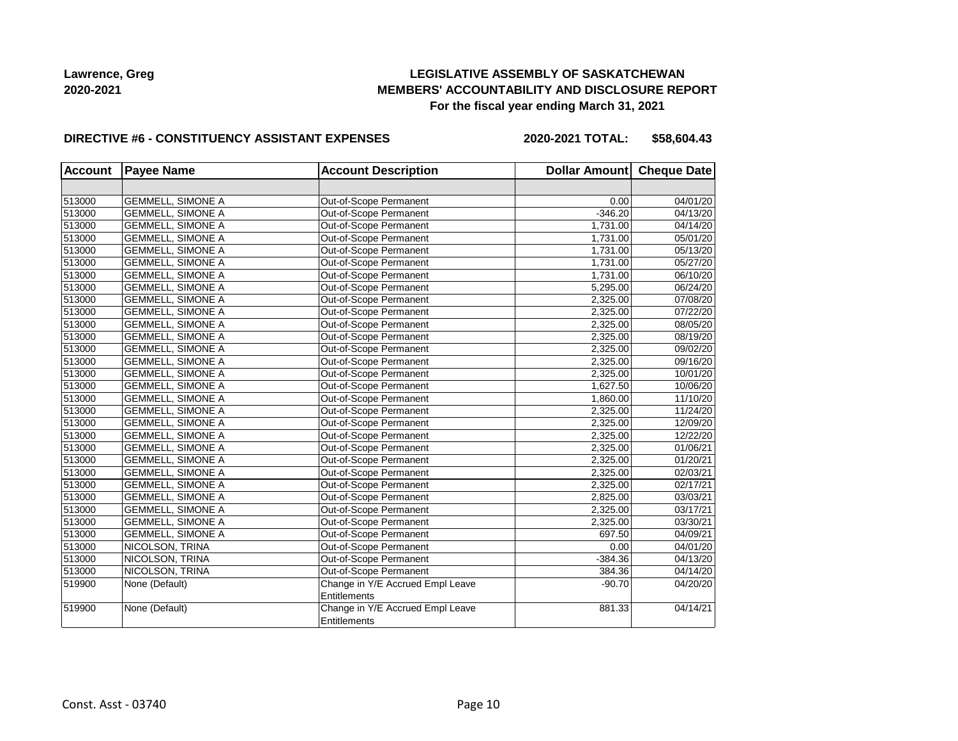## **LEGISLATIVE ASSEMBLY OF SASKATCHEWAN MEMBERS' ACCOUNTABILITY AND DISCLOSURE REPORT For the fiscal year ending March 31, 2021**

#### **DIRECTIVE #6 - CONSTITUENCY ASSISTANT EXPENSES**

**2020-2021 TOTAL: \$58,604.43**

| <b>Account</b> | <b>Payee Name</b>        | <b>Account Description</b>                              | Dollar Amount Cheque Date |          |
|----------------|--------------------------|---------------------------------------------------------|---------------------------|----------|
|                |                          |                                                         |                           |          |
| 513000         | <b>GEMMELL, SIMONE A</b> | Out-of-Scope Permanent                                  | 0.00                      | 04/01/20 |
| 513000         | <b>GEMMELL, SIMONE A</b> | Out-of-Scope Permanent                                  | $-346.20$                 | 04/13/20 |
| 513000         | <b>GEMMELL, SIMONE A</b> | Out-of-Scope Permanent                                  | 1,731.00                  | 04/14/20 |
| 513000         | <b>GEMMELL, SIMONE A</b> | Out-of-Scope Permanent                                  | 1,731.00                  | 05/01/20 |
| 513000         | <b>GEMMELL, SIMONE A</b> | Out-of-Scope Permanent                                  | 1,731.00                  | 05/13/20 |
| 513000         | <b>GEMMELL, SIMONE A</b> | Out-of-Scope Permanent                                  | 1,731.00                  | 05/27/20 |
| 513000         | <b>GEMMELL, SIMONE A</b> | Out-of-Scope Permanent                                  | 1,731.00                  | 06/10/20 |
| 513000         | <b>GEMMELL, SIMONE A</b> | Out-of-Scope Permanent                                  | 5,295.00                  | 06/24/20 |
| 513000         | <b>GEMMELL, SIMONE A</b> | Out-of-Scope Permanent                                  | 2,325.00                  | 07/08/20 |
| 513000         | <b>GEMMELL, SIMONE A</b> | Out-of-Scope Permanent                                  | 2,325.00                  | 07/22/20 |
| 513000         | <b>GEMMELL, SIMONE A</b> | Out-of-Scope Permanent                                  | 2,325.00                  | 08/05/20 |
| 513000         | <b>GEMMELL, SIMONE A</b> | Out-of-Scope Permanent                                  | 2,325.00                  | 08/19/20 |
| 513000         | <b>GEMMELL, SIMONE A</b> | Out-of-Scope Permanent                                  | 2,325.00                  | 09/02/20 |
| 513000         | <b>GEMMELL, SIMONE A</b> | Out-of-Scope Permanent                                  | 2,325.00                  | 09/16/20 |
| 513000         | <b>GEMMELL, SIMONE A</b> | Out-of-Scope Permanent                                  | 2,325.00                  | 10/01/20 |
| 513000         | <b>GEMMELL, SIMONE A</b> | Out-of-Scope Permanent                                  | 1,627.50                  | 10/06/20 |
| 513000         | <b>GEMMELL, SIMONE A</b> | Out-of-Scope Permanent                                  | 1,860.00                  | 11/10/20 |
| 513000         | <b>GEMMELL, SIMONE A</b> | Out-of-Scope Permanent                                  | 2,325.00                  | 11/24/20 |
| 513000         | <b>GEMMELL, SIMONE A</b> | Out-of-Scope Permanent                                  | 2,325.00                  | 12/09/20 |
| 513000         | <b>GEMMELL, SIMONE A</b> | Out-of-Scope Permanent                                  | 2,325.00                  | 12/22/20 |
| 513000         | <b>GEMMELL, SIMONE A</b> | Out-of-Scope Permanent                                  | 2,325.00                  | 01/06/21 |
| 513000         | <b>GEMMELL, SIMONE A</b> | Out-of-Scope Permanent                                  | 2,325.00                  | 01/20/21 |
| 513000         | <b>GEMMELL, SIMONE A</b> | Out-of-Scope Permanent                                  | 2,325.00                  | 02/03/21 |
| 513000         | <b>GEMMELL, SIMONE A</b> | Out-of-Scope Permanent                                  | 2,325.00                  | 02/17/21 |
| 513000         | <b>GEMMELL, SIMONE A</b> | Out-of-Scope Permanent                                  | 2,825.00                  | 03/03/21 |
| 513000         | <b>GEMMELL, SIMONE A</b> | Out-of-Scope Permanent                                  | 2,325.00                  | 03/17/21 |
| 513000         | <b>GEMMELL, SIMONE A</b> | Out-of-Scope Permanent                                  | 2,325.00                  | 03/30/21 |
| 513000         | <b>GEMMELL, SIMONE A</b> | Out-of-Scope Permanent                                  | 697.50                    | 04/09/21 |
| 513000         | NICOLSON, TRINA          | Out-of-Scope Permanent                                  | 0.00                      | 04/01/20 |
| 513000         | NICOLSON, TRINA          | Out-of-Scope Permanent                                  | $-384.36$                 | 04/13/20 |
| 513000         | NICOLSON, TRINA          | Out-of-Scope Permanent                                  | 384.36                    | 04/14/20 |
| 519900         | None (Default)           | Change in Y/E Accrued Empl Leave                        | $-90.70$                  | 04/20/20 |
|                |                          | Entitlements                                            |                           |          |
| 519900         | None (Default)           | Change in Y/E Accrued Empl Leave<br><b>Entitlements</b> | 881.33                    | 04/14/21 |